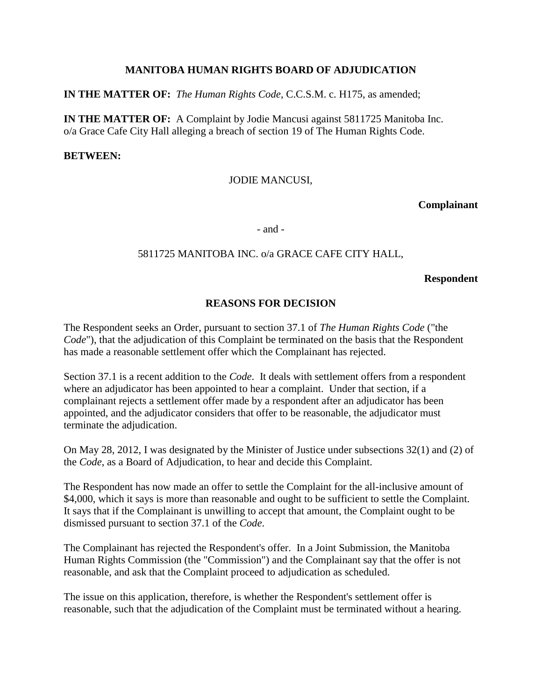## **MANITOBA HUMAN RIGHTS BOARD OF ADJUDICATION**

**IN THE MATTER OF:** *The Human Rights Code*, C.C.S.M. c. H175, as amended;

**IN THE MATTER OF:** A Complaint by Jodie Mancusi against 5811725 Manitoba Inc. o/a Grace Cafe City Hall alleging a breach of section 19 of The Human Rights Code.

#### **BETWEEN:**

#### JODIE MANCUSI,

#### **Complainant**

- and -

## 5811725 MANITOBA INC. o/a GRACE CAFE CITY HALL,

#### **Respondent**

### **REASONS FOR DECISION**

The Respondent seeks an Order, pursuant to section 37.1 of *The Human Rights Code* ("the *Code*"), that the adjudication of this Complaint be terminated on the basis that the Respondent has made a reasonable settlement offer which the Complainant has rejected.

Section 37.1 is a recent addition to the *Code*. It deals with settlement offers from a respondent where an adjudicator has been appointed to hear a complaint. Under that section, if a complainant rejects a settlement offer made by a respondent after an adjudicator has been appointed, and the adjudicator considers that offer to be reasonable, the adjudicator must terminate the adjudication.

On May 28, 2012, I was designated by the Minister of Justice under subsections 32(1) and (2) of the *Code*, as a Board of Adjudication, to hear and decide this Complaint.

The Respondent has now made an offer to settle the Complaint for the all-inclusive amount of \$4,000, which it says is more than reasonable and ought to be sufficient to settle the Complaint. It says that if the Complainant is unwilling to accept that amount, the Complaint ought to be dismissed pursuant to section 37.1 of the *Code*.

The Complainant has rejected the Respondent's offer. In a Joint Submission, the Manitoba Human Rights Commission (the "Commission") and the Complainant say that the offer is not reasonable, and ask that the Complaint proceed to adjudication as scheduled.

The issue on this application, therefore, is whether the Respondent's settlement offer is reasonable, such that the adjudication of the Complaint must be terminated without a hearing.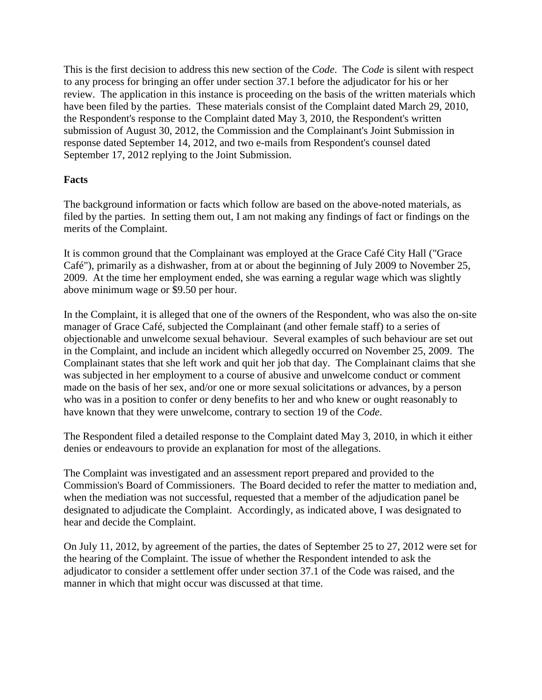This is the first decision to address this new section of the *Code*. The *Code* is silent with respect to any process for bringing an offer under section 37.1 before the adjudicator for his or her review. The application in this instance is proceeding on the basis of the written materials which have been filed by the parties. These materials consist of the Complaint dated March 29, 2010, the Respondent's response to the Complaint dated May 3, 2010, the Respondent's written submission of August 30, 2012, the Commission and the Complainant's Joint Submission in response dated September 14, 2012, and two e-mails from Respondent's counsel dated September 17, 2012 replying to the Joint Submission.

## **Facts**

The background information or facts which follow are based on the above-noted materials, as filed by the parties. In setting them out, I am not making any findings of fact or findings on the merits of the Complaint.

It is common ground that the Complainant was employed at the Grace Café City Hall ("Grace Café"), primarily as a dishwasher, from at or about the beginning of July 2009 to November 25, 2009. At the time her employment ended, she was earning a regular wage which was slightly above minimum wage or \$9.50 per hour.

In the Complaint, it is alleged that one of the owners of the Respondent, who was also the on-site manager of Grace Café, subjected the Complainant (and other female staff) to a series of objectionable and unwelcome sexual behaviour. Several examples of such behaviour are set out in the Complaint, and include an incident which allegedly occurred on November 25, 2009. The Complainant states that she left work and quit her job that day. The Complainant claims that she was subjected in her employment to a course of abusive and unwelcome conduct or comment made on the basis of her sex, and/or one or more sexual solicitations or advances, by a person who was in a position to confer or deny benefits to her and who knew or ought reasonably to have known that they were unwelcome, contrary to section 19 of the *Code*.

The Respondent filed a detailed response to the Complaint dated May 3, 2010, in which it either denies or endeavours to provide an explanation for most of the allegations.

The Complaint was investigated and an assessment report prepared and provided to the Commission's Board of Commissioners. The Board decided to refer the matter to mediation and, when the mediation was not successful, requested that a member of the adjudication panel be designated to adjudicate the Complaint. Accordingly, as indicated above, I was designated to hear and decide the Complaint.

On July 11, 2012, by agreement of the parties, the dates of September 25 to 27, 2012 were set for the hearing of the Complaint. The issue of whether the Respondent intended to ask the adjudicator to consider a settlement offer under section 37.1 of the Code was raised, and the manner in which that might occur was discussed at that time.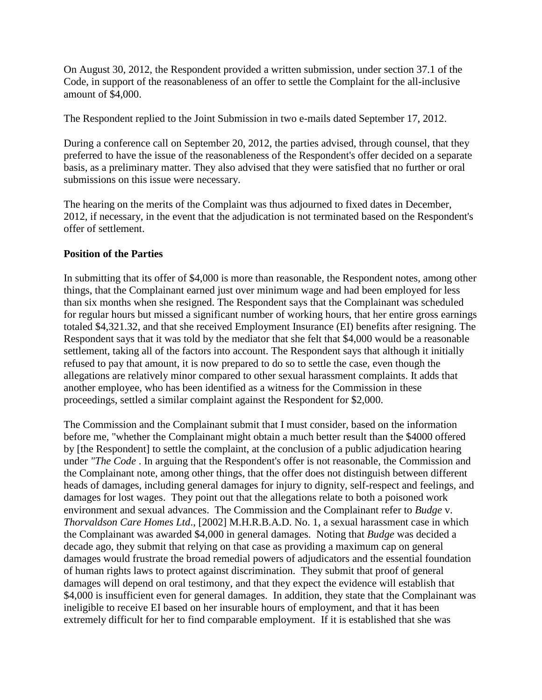On August 30, 2012, the Respondent provided a written submission, under section 37.1 of the Code, in support of the reasonableness of an offer to settle the Complaint for the all-inclusive amount of \$4,000.

The Respondent replied to the Joint Submission in two e-mails dated September 17, 2012.

During a conference call on September 20, 2012, the parties advised, through counsel, that they preferred to have the issue of the reasonableness of the Respondent's offer decided on a separate basis, as a preliminary matter. They also advised that they were satisfied that no further or oral submissions on this issue were necessary.

The hearing on the merits of the Complaint was thus adjourned to fixed dates in December, 2012, if necessary, in the event that the adjudication is not terminated based on the Respondent's offer of settlement.

### **Position of the Parties**

In submitting that its offer of \$4,000 is more than reasonable, the Respondent notes, among other things, that the Complainant earned just over minimum wage and had been employed for less than six months when she resigned. The Respondent says that the Complainant was scheduled for regular hours but missed a significant number of working hours, that her entire gross earnings totaled \$4,321.32, and that she received Employment Insurance (EI) benefits after resigning. The Respondent says that it was told by the mediator that she felt that \$4,000 would be a reasonable settlement, taking all of the factors into account. The Respondent says that although it initially refused to pay that amount, it is now prepared to do so to settle the case, even though the allegations are relatively minor compared to other sexual harassment complaints. It adds that another employee, who has been identified as a witness for the Commission in these proceedings, settled a similar complaint against the Respondent for \$2,000.

The Commission and the Complainant submit that I must consider, based on the information before me, "whether the Complainant might obtain a much better result than the \$4000 offered by [the Respondent] to settle the complaint, at the conclusion of a public adjudication hearing under *"The Code* . In arguing that the Respondent's offer is not reasonable, the Commission and the Complainant note, among other things, that the offer does not distinguish between different heads of damages, including general damages for injury to dignity, self-respect and feelings, and damages for lost wages. They point out that the allegations relate to both a poisoned work environment and sexual advances. The Commission and the Complainant refer to *Budge* v. *Thorvaldson Care Homes Ltd*., [2002] M.H.R.B.A.D. No. 1, a sexual harassment case in which the Complainant was awarded \$4,000 in general damages. Noting that *Budge* was decided a decade ago, they submit that relying on that case as providing a maximum cap on general damages would frustrate the broad remedial powers of adjudicators and the essential foundation of human rights laws to protect against discrimination. They submit that proof of general damages will depend on oral testimony, and that they expect the evidence will establish that \$4,000 is insufficient even for general damages. In addition, they state that the Complainant was ineligible to receive EI based on her insurable hours of employment, and that it has been extremely difficult for her to find comparable employment. If it is established that she was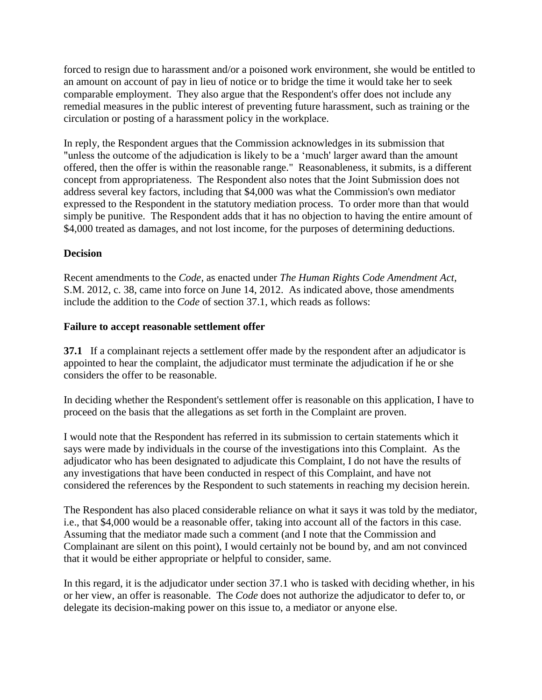forced to resign due to harassment and/or a poisoned work environment, she would be entitled to an amount on account of pay in lieu of notice or to bridge the time it would take her to seek comparable employment. They also argue that the Respondent's offer does not include any remedial measures in the public interest of preventing future harassment, such as training or the circulation or posting of a harassment policy in the workplace.

In reply, the Respondent argues that the Commission acknowledges in its submission that "unless the outcome of the adjudication is likely to be a 'much' larger award than the amount offered, then the offer is within the reasonable range." Reasonableness, it submits, is a different concept from appropriateness. The Respondent also notes that the Joint Submission does not address several key factors, including that \$4,000 was what the Commission's own mediator expressed to the Respondent in the statutory mediation process. To order more than that would simply be punitive. The Respondent adds that it has no objection to having the entire amount of \$4,000 treated as damages, and not lost income, for the purposes of determining deductions.

# **Decision**

Recent amendments to the *Code*, as enacted under *The Human Rights Code Amendment Act*, S.M. 2012, c. 38, came into force on June 14, 2012. As indicated above, those amendments include the addition to the *Code* of section 37.1, which reads as follows:

### **Failure to accept reasonable settlement offer**

**37.1** If a complainant rejects a settlement offer made by the respondent after an adjudicator is appointed to hear the complaint, the adjudicator must terminate the adjudication if he or she considers the offer to be reasonable.

In deciding whether the Respondent's settlement offer is reasonable on this application, I have to proceed on the basis that the allegations as set forth in the Complaint are proven.

I would note that the Respondent has referred in its submission to certain statements which it says were made by individuals in the course of the investigations into this Complaint. As the adjudicator who has been designated to adjudicate this Complaint, I do not have the results of any investigations that have been conducted in respect of this Complaint, and have not considered the references by the Respondent to such statements in reaching my decision herein.

The Respondent has also placed considerable reliance on what it says it was told by the mediator, i.e., that \$4,000 would be a reasonable offer, taking into account all of the factors in this case. Assuming that the mediator made such a comment (and I note that the Commission and Complainant are silent on this point), I would certainly not be bound by, and am not convinced that it would be either appropriate or helpful to consider, same.

In this regard, it is the adjudicator under section 37.1 who is tasked with deciding whether, in his or her view, an offer is reasonable. The *Code* does not authorize the adjudicator to defer to, or delegate its decision-making power on this issue to, a mediator or anyone else.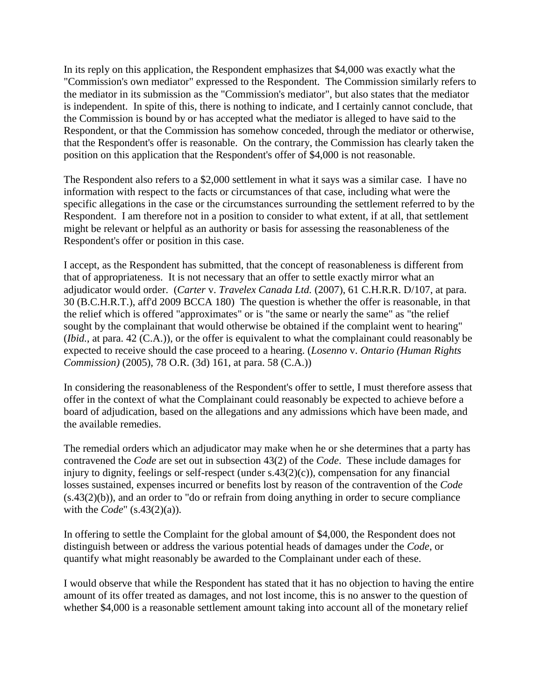In its reply on this application, the Respondent emphasizes that \$4,000 was exactly what the "Commission's own mediator" expressed to the Respondent. The Commission similarly refers to the mediator in its submission as the "Commission's mediator", but also states that the mediator is independent. In spite of this, there is nothing to indicate, and I certainly cannot conclude, that the Commission is bound by or has accepted what the mediator is alleged to have said to the Respondent, or that the Commission has somehow conceded, through the mediator or otherwise, that the Respondent's offer is reasonable. On the contrary, the Commission has clearly taken the position on this application that the Respondent's offer of \$4,000 is not reasonable.

The Respondent also refers to a \$2,000 settlement in what it says was a similar case. I have no information with respect to the facts or circumstances of that case, including what were the specific allegations in the case or the circumstances surrounding the settlement referred to by the Respondent. I am therefore not in a position to consider to what extent, if at all, that settlement might be relevant or helpful as an authority or basis for assessing the reasonableness of the Respondent's offer or position in this case.

I accept, as the Respondent has submitted, that the concept of reasonableness is different from that of appropriateness. It is not necessary that an offer to settle exactly mirror what an adjudicator would order. (*Carter* v. *Travelex Canada Ltd.* (2007), 61 C.H.R.R. D/107, at para. 30 (B.C.H.R.T.), aff'd 2009 BCCA 180) The question is whether the offer is reasonable, in that the relief which is offered "approximates" or is "the same or nearly the same" as "the relief sought by the complainant that would otherwise be obtained if the complaint went to hearing" (*Ibid.*, at para. 42 (C.A.)), or the offer is equivalent to what the complainant could reasonably be expected to receive should the case proceed to a hearing. (*Losenno* v. *Ontario (Human Rights Commission)* (2005), 78 O.R. (3d) 161, at para. 58 (C.A.))

In considering the reasonableness of the Respondent's offer to settle, I must therefore assess that offer in the context of what the Complainant could reasonably be expected to achieve before a board of adjudication, based on the allegations and any admissions which have been made, and the available remedies.

The remedial orders which an adjudicator may make when he or she determines that a party has contravened the *Code* are set out in subsection 43(2) of the *Code*. These include damages for injury to dignity, feelings or self-respect (under s.43(2)(c)), compensation for any financial losses sustained, expenses incurred or benefits lost by reason of the contravention of the *Code* (s.43(2)(b)), and an order to "do or refrain from doing anything in order to secure compliance with the *Code*" (s.43(2)(a)).

In offering to settle the Complaint for the global amount of \$4,000, the Respondent does not distinguish between or address the various potential heads of damages under the *Code*, or quantify what might reasonably be awarded to the Complainant under each of these.

I would observe that while the Respondent has stated that it has no objection to having the entire amount of its offer treated as damages, and not lost income, this is no answer to the question of whether \$4,000 is a reasonable settlement amount taking into account all of the monetary relief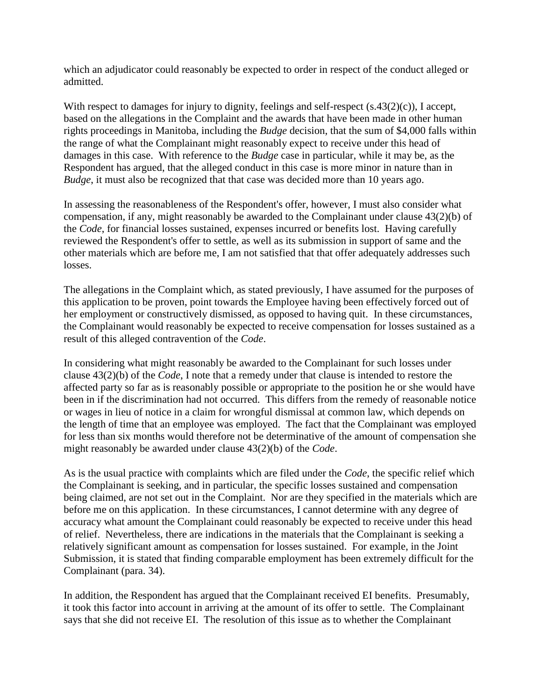which an adjudicator could reasonably be expected to order in respect of the conduct alleged or admitted.

With respect to damages for injury to dignity, feelings and self-respect (s.43(2)(c)), I accept, based on the allegations in the Complaint and the awards that have been made in other human rights proceedings in Manitoba, including the *Budge* decision, that the sum of \$4,000 falls within the range of what the Complainant might reasonably expect to receive under this head of damages in this case. With reference to the *Budge* case in particular, while it may be, as the Respondent has argued, that the alleged conduct in this case is more minor in nature than in *Budge*, it must also be recognized that that case was decided more than 10 years ago.

In assessing the reasonableness of the Respondent's offer, however, I must also consider what compensation, if any, might reasonably be awarded to the Complainant under clause 43(2)(b) of the *Code*, for financial losses sustained, expenses incurred or benefits lost. Having carefully reviewed the Respondent's offer to settle, as well as its submission in support of same and the other materials which are before me, I am not satisfied that that offer adequately addresses such losses.

The allegations in the Complaint which, as stated previously, I have assumed for the purposes of this application to be proven, point towards the Employee having been effectively forced out of her employment or constructively dismissed, as opposed to having quit. In these circumstances, the Complainant would reasonably be expected to receive compensation for losses sustained as a result of this alleged contravention of the *Code*.

In considering what might reasonably be awarded to the Complainant for such losses under clause 43(2)(b) of the *Code*, I note that a remedy under that clause is intended to restore the affected party so far as is reasonably possible or appropriate to the position he or she would have been in if the discrimination had not occurred. This differs from the remedy of reasonable notice or wages in lieu of notice in a claim for wrongful dismissal at common law, which depends on the length of time that an employee was employed. The fact that the Complainant was employed for less than six months would therefore not be determinative of the amount of compensation she might reasonably be awarded under clause 43(2)(b) of the *Code*.

As is the usual practice with complaints which are filed under the *Code*, the specific relief which the Complainant is seeking, and in particular, the specific losses sustained and compensation being claimed, are not set out in the Complaint. Nor are they specified in the materials which are before me on this application. In these circumstances, I cannot determine with any degree of accuracy what amount the Complainant could reasonably be expected to receive under this head of relief. Nevertheless, there are indications in the materials that the Complainant is seeking a relatively significant amount as compensation for losses sustained. For example, in the Joint Submission, it is stated that finding comparable employment has been extremely difficult for the Complainant (para. 34).

In addition, the Respondent has argued that the Complainant received EI benefits. Presumably, it took this factor into account in arriving at the amount of its offer to settle. The Complainant says that she did not receive EI. The resolution of this issue as to whether the Complainant